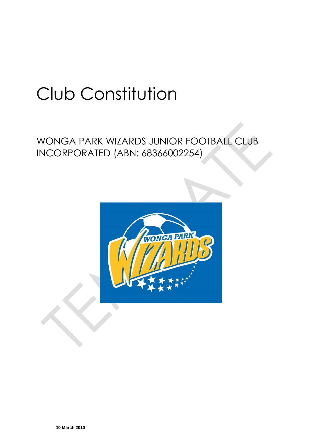# Club Constitution

WONGA PARK WIZARDS JUNIOR FOOTBALL CLUB INCORPORATED (ABN: 68366002254)

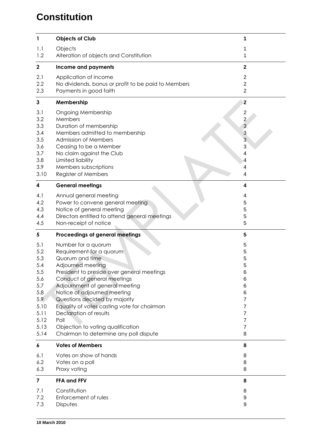# **Constitution**

| $\mathbf{1}$ | <b>Objects of Club</b>                              | 1                |
|--------------|-----------------------------------------------------|------------------|
| 1.1          | Objects                                             | 1                |
| 1.2          | Alteration of objects and Constitution              | 1                |
| $\mathbf 2$  | Income and payments                                 | $\mathbf{2}$     |
| 2.1          | Application of income                               | $\overline{2}$   |
| 2.2          | No dividends, bonus or profit to be paid to Members | $\overline{2}$   |
| 2.3          | Payments in good faith                              | $\overline{2}$   |
| 3            | Membership                                          | $\overline{2}$   |
| 3.1          | <b>Ongoing Membership</b>                           | $\boldsymbol{2}$ |
| 3.2          | Members                                             | $\overline{2}$   |
| 3.3          | Duration of membership                              | $\overline{3}$   |
| 3.4          | Members admitted to membership                      | 3                |
| 3.5          | <b>Admission of Members</b>                         | 3                |
| 3.6          | Ceasing to be a Member                              | 3                |
| 3.7          | No claim against the Club                           | 4                |
| 3.8          | Limited liability                                   | 4                |
| 3.9          | Members subscriptions                               | 4                |
| 3.10         | Register of Members                                 | 4                |
| 4            | <b>General meetings</b>                             | 4                |
| 4.1          | Annual general meeting                              | 4                |
| 4.2          | Power to convene general meeting                    | 5                |
| 4.3          | Notice of general meeting                           | 5                |
| 4.4          | Directors entitled to attend general meetings       | 5                |
| 4.5          | Non-receipt of notice                               | 5                |
| 5            | Proceedings at general meetings                     | 5                |
| 5.1          | Number for a quorum                                 | 5                |
| 5.2          | Requirement for a quorum                            | 5                |
| 5.3          | Quorum and time                                     | 5                |
| 5.4          | Adjourned meeting                                   | 5                |
| 5.5          | President to preside over general meetings          | 6                |
| 5.6          | Conduct of general meetings                         | 6                |
| 5.7          | Adjournment of general meeting                      | 6                |
| 5.8          | Notice of adjourned meeting                         | 6                |
| 5.9          | Questions decided by majority                       | $\overline{7}$   |
| 5.10         | Equality of votes casting vote for chairman         | 7                |
| 5.11         | Declaration of results                              | 7                |
| 5.12         | Poll                                                | 7                |
| 5.13         | Objection to voting qualification                   | $\overline{7}$   |
| 5.14         | Chairman to determine any poll dispute              | 8                |
| 6            | <b>Votes of Members</b>                             | 8                |
| 6.1          | Votes on show of hands                              | 8                |
| 6.2          | Votes on a poll                                     | 8                |
| 6.3          | Proxy voting                                        | 8                |
| 7            | FFA and FFV                                         | 8                |
| 7.1          | Constitution                                        | 8                |
| 7.2          | Enforcement of rules                                | 9                |
| 7.3          | <b>Disputes</b>                                     | 9                |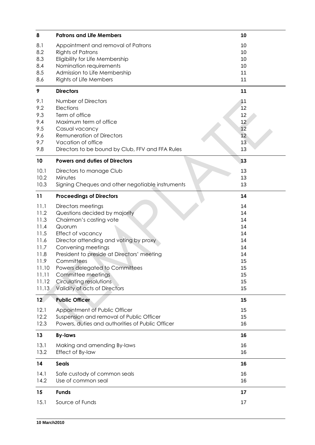| 8                                                                                                        | <b>Patrons and Life Members</b>                                                                                                                                                                                                                                                                                                                               | 10                                                                         |
|----------------------------------------------------------------------------------------------------------|---------------------------------------------------------------------------------------------------------------------------------------------------------------------------------------------------------------------------------------------------------------------------------------------------------------------------------------------------------------|----------------------------------------------------------------------------|
| 8.1<br>8.2<br>8.3<br>8.4<br>8.5<br>8.6                                                                   | Appointment and removal of Patrons<br><b>Rights of Patrons</b><br>Eligibility for Life Membership<br>Nomination requirements<br>Admission to Life Membership<br>Rights of Life Members                                                                                                                                                                        | 10<br>10<br>10<br>10<br>11<br>11                                           |
| 9                                                                                                        | <b>Directors</b>                                                                                                                                                                                                                                                                                                                                              | 11                                                                         |
| 9.1<br>9.2<br>9.3<br>9.4<br>9.5<br>9.6<br>9.7<br>9.8                                                     | Number of Directors<br>Elections<br>Term of office<br>Maximum term of office<br>Casual vacancy<br><b>Remuneration of Directors</b><br>Vacation of office<br>Directors to be bound by Club, FFV and FFA Rules                                                                                                                                                  | 11<br>12<br>12<br>12<br>12<br>12<br>13<br>13                               |
| 10                                                                                                       | <b>Powers and duties of Directors</b>                                                                                                                                                                                                                                                                                                                         | 13                                                                         |
| 10.1<br>10.2<br>10.3                                                                                     | Directors to manage Club<br>Minutes<br>Signing Cheques and other negotiable instruments                                                                                                                                                                                                                                                                       | 13<br>13<br>13                                                             |
| 11                                                                                                       | <b>Proceedings of Directors</b>                                                                                                                                                                                                                                                                                                                               | 14                                                                         |
| 11.1<br>11.2<br>11.3<br>11.4<br>11.5<br>11.6<br>11.7<br>11.8<br>11.9<br>11.10<br>11.11<br>11.12<br>11.13 | Directors meetings<br>Questions decided by majority<br>Chairman's casting vote<br>Quorum<br>Effect of vacancy<br>Director attending and voting by proxy<br>Convening meetings<br>President to preside at Directors' meeting<br>Committees<br>Powers delegated to Committees<br>Committee meetings<br>Circulating resolutions<br>Validity of acts of Directors | 14<br>14<br>14<br>14<br>14<br>14<br>14<br>14<br>15<br>15<br>15<br>15<br>15 |
| 12                                                                                                       | <b>Public Officer</b>                                                                                                                                                                                                                                                                                                                                         | 15                                                                         |
| 12.1<br>12.2<br>12.3                                                                                     | Appointment of Public Officer<br>Suspension and removal of Public Officer<br>Powers, duties and authorities of Public Officer                                                                                                                                                                                                                                 | 15<br>15<br>16                                                             |
| 13                                                                                                       | <b>By-laws</b>                                                                                                                                                                                                                                                                                                                                                | 16                                                                         |
| 13.1<br>13.2                                                                                             | Making and amending By-laws<br>Effect of By-law                                                                                                                                                                                                                                                                                                               | 16<br>16                                                                   |
| 14                                                                                                       | <b>Seals</b>                                                                                                                                                                                                                                                                                                                                                  | 16                                                                         |
| 14.1<br>14.2                                                                                             | Safe custody of common seals<br>Use of common seal                                                                                                                                                                                                                                                                                                            | 16<br>16                                                                   |
| 15                                                                                                       | <b>Funds</b>                                                                                                                                                                                                                                                                                                                                                  | 17                                                                         |
| 15.1                                                                                                     | Source of Funds                                                                                                                                                                                                                                                                                                                                               | 17                                                                         |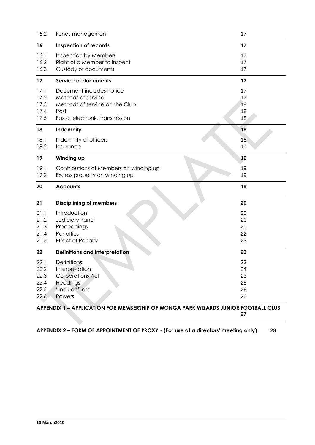| 15.2 | Funds management                       | 17 |
|------|----------------------------------------|----|
| 16   | <b>Inspection of records</b>           | 17 |
| 16.1 | Inspection by Members                  | 17 |
| 16.2 | Right of a Member to inspect           | 17 |
| 16.3 | Custody of documents                   | 17 |
| 17   | <b>Service of documents</b>            | 17 |
| 17.1 | Document includes notice               | 17 |
| 17.2 | Methods of service                     | 17 |
| 17.3 | Methods of service on the Club         | 18 |
| 17.4 | Post                                   | 18 |
| 17.5 | Fax or electronic transmission         | 18 |
| 18   | Indemnity                              | 18 |
| 18.1 | Indemnity of officers                  | 18 |
| 18.2 | Insurance                              | 19 |
| 19   | Winding up                             | 19 |
| 19.1 | Contributions of Members on winding up | 19 |
| 19.2 | Excess property on winding up          | 19 |
| 20   | <b>Accounts</b>                        | 19 |
| 21   | <b>Disciplining of members</b>         | 20 |
| 21.1 | Introduction                           | 20 |
| 21.2 | Judiciary Panel                        | 20 |
| 21.3 | Proceedings                            | 20 |
| 21.4 | Penalties                              | 22 |
| 21.5 | <b>Effect of Penalty</b>               | 23 |
| 22   | Definitions and interpretation         | 23 |
| 22.1 | <b>Definitions</b>                     | 23 |
| 22.2 | Interpretation                         | 24 |
| 22.3 | <b>Corporations Act</b>                | 25 |
| 22.4 | Headings                               | 25 |
| 22.5 | "Include" etc                          | 26 |
| 22.6 | Powers                                 | 26 |
|      |                                        |    |

#### **APPENDIX 1 – APPLICATION FOR MEMBERSHIP OF WONGA PARK WIZARDS JUNIOR FOOTBALL CLUB 27**

**APPENDIX 2 – FORM OF APPOINTMENT OF PROXY - (For use at a directors' meeting only) 28**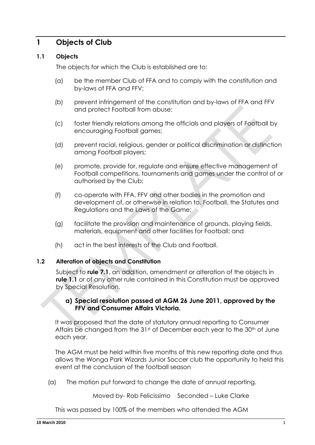# **1 Objects of Club**

## **1.1 Objects**

The objects for which the Club is established are to:

- (a) be the member Club of FFA and to comply with the constitution and by-laws of FFA and FFV;
- (b) prevent infringement of the constitution and by-laws of FFA and FFV and protect Football from abuse;
- (c) foster friendly relations among the officials and players of Football by encouraging Football games;
- (d) prevent racial, religious, gender or political discrimination or distinction among Football players;
- (e) promote, provide for, regulate and ensure effective management of Football competitions, tournaments and games under the control of or authorised by the Club;
- (f) co-operate with FFA, FFV and other bodies in the promotion and development of, or otherwise in relation to, Football, the Statutes and Regulations and the Laws of the Game;
- (g) facilitate the provision and maintenance of grounds, playing fields, materials, equipment and other facilities for Football; and
- (h) act in the best interests of the Club and Football.

# **1.2 Alteration of objects and Constitution**

Subject to **rule 7.1**, an addition, amendment or alteration of the objects in **rule 1.1** or of any other rule contained in this Constitution must be approved by Special Resolution.

#### **a) Special resolution passed at AGM 26 June 2011, approved by the FFV and Consumer Affairs Victoria.**

It was proposed that the date of statutory annual reporting to Consumer Affairs be changed from the 31st of December each year to the 30<sup>th</sup> of June each year.

The AGM must be held within five months of this new reporting date and thus allows the Wonga Park Wizards Junior Soccer club the opportunity to held this event at the conclusion of the football season

(a) The motion put forward to change the date of annual reporting.

Moved by- Rob Felicissimo Seconded – Luke Clarke

This was passed by 100% of the members who attended the AGM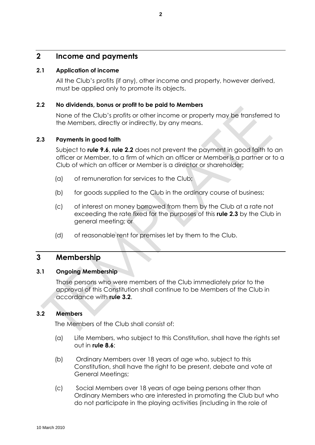# **2 Income and payments**

# **2.1 Application of income**

All the Club's profits (if any), other income and property, however derived, must be applied only to promote its objects.

# <span id="page-5-0"></span>**2.2 No dividends, bonus or profit to be paid to Members**

None of the Club's profits or other income or property may be transferred to the Members, directly or indirectly, by any means.

# <span id="page-5-1"></span>**2.3 Payments in good faith**

Subject to **rule [9.6](#page-15-0)**, **rule [2.2](#page-5-0)** does not prevent the payment in good faith to an officer or Member, to a firm of which an officer or Member is a partner or to a Club of which an officer or Member is a director or shareholder:

- (a) of remuneration for services to the Club;
- (b) for goods supplied to the Club in the ordinary course of business;
- (c) of interest on money borrowed from them by the Club at a rate not exceeding the rate fixed for the purposes of this **rule [2.3](#page-5-1)** by the Club in general meeting; or
- (d) of reasonable rent for premises let by them to the Club.

# **3 Membership**

# **3.1 Ongoing Membership**

Those persons who were members of the Club immediately prior to the approval of this Constitution shall continue to be Members of the Club in accordance with **rule 3.2**.

# **3.2 Members**

The Members of the Club shall consist of:

- (a) Life Members, who subject to this Constitution, shall have the rights set out in **rule 8.6**;
- (b) Ordinary Members over 18 years of age who, subject to this Constitution, shall have the right to be present, debate and vote at General Meetings;
- (c) Social Members over 18 years of age being persons other than Ordinary Members who are interested in promoting the Club but who do not participate in the playing activities (including in the role of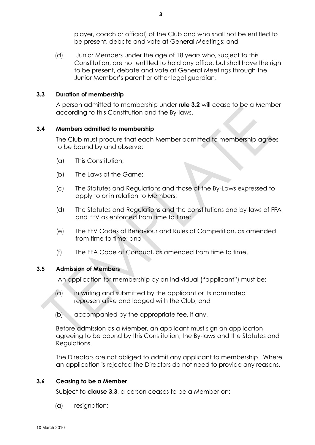player, coach or official) of the Club and who shall not be entitled to be present, debate and vote at General Meetings; and

(d) Junior Members under the age of 18 years who, subject to this Constitution, are not entitled to hold any office, but shall have the right to be present, debate and vote at General Meetings through the Junior Member's parent or other legal guardian.

#### <span id="page-6-0"></span>**3.3 Duration of membership**

A person admitted to membership under **rule 3.2** will cease to be a Member according to this Constitution and the By-laws.

#### **3.4 Members admitted to membership**

The Club must procure that each Member admitted to membership agrees to be bound by and observe:

- (a) This Constitution;
- (b) The Laws of the Game;
- (c) The Statutes and Regulations and those of the By-Laws expressed to apply to or in relation to Members;
- (d) The Statutes and Regulations and the constitutions and by-laws of FFA and FFV as enforced from time to time;
- (e) The FFV Codes of Behaviour and Rules of Competition, as amended from time to time; and
- (f) The FFA Code of Conduct, as amended from time to time.

#### **3.5 Admission of Members**

An application for membership by an individual ("applicant") must be:

- $(a)$  in writing and submitted by the applicant or its nominated representative and lodged with the Club; and
- (b) accompanied by the appropriate fee, if any.

Before admission as a Member, an applicant must sign an application agreeing to be bound by this Constitution, the By-laws and the Statutes and Regulations.

The Directors are not obliged to admit any applicant to membership. Where an application is rejected the Directors do not need to provide any reasons.

#### **3.6 Ceasing to be a Member**

Subject to **clause [3.3](#page-6-0)**, a person ceases to be a Member on:

(a) resignation;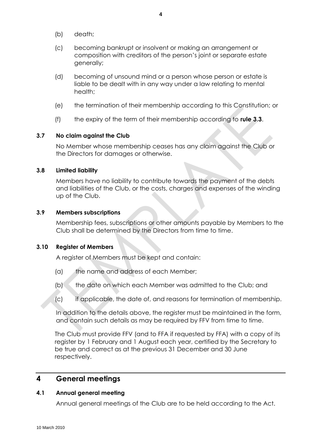- (b) death;
- (c) becoming bankrupt or insolvent or making an arrangement or composition with creditors of the person's joint or separate estate generally;
- (d) becoming of unsound mind or a person whose person or estate is liable to be dealt with in any way under a law relating to mental health;
- (e) the termination of their membership according to this Constitution; or
- (f) the expiry of the term of their membership according to **rule [3.3](#page-6-0)**.

#### **3.7 No claim against the Club**

No Member whose membership ceases has any claim against the Club or the Directors for damages or otherwise.

#### **3.8 Limited liability**

Members have no liability to contribute towards the payment of the debts and liabilities of the Club, or the costs, charges and expenses of the winding up of the Club.

#### **3.9 Members subscriptions**

Membership fees, subscriptions or other amounts payable by Members to the Club shall be determined by the Directors from time to time.

#### **3.10 Register of Members**

A register of Members must be kept and contain:

- (a) the name and address of each Member;
- (b) the date on which each Member was admitted to the Club; and
- (c) if applicable, the date of, and reasons for termination of membership.

In addition to the details above, the register must be maintained in the form, and contain such details as may be required by FFV from time to time.

The Club must provide FFV (and to FFA if requested by FFA) with a copy of its register by 1 February and 1 August each year, certified by the Secretary to be true and correct as at the previous 31 December and 30 June respectively.

# **4 General meetings**

#### **4.1 Annual general meeting**

Annual general meetings of the Club are to be held according to the Act.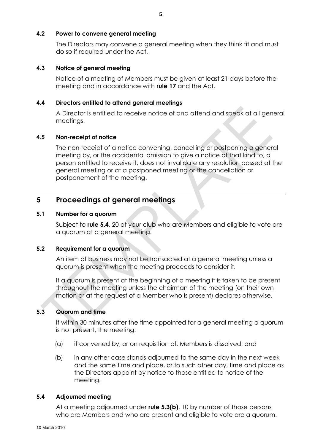#### **4.2 Power to convene general meeting**

The Directors may convene a general meeting when they think fit and must do so if required under the Act.

#### **4.3 Notice of general meeting**

Notice of a meeting of Members must be given at least 21 days before the meeting and in accordance with **rule [17](#page-20-0)** and the Act.

#### **4.4 Directors entitled to attend general meetings**

A Director is entitled to receive notice of and attend and speak at all general meetings.

#### **4.5 Non-receipt of notice**

The non-receipt of a notice convening, cancelling or postponing a general meeting by, or the accidental omission to give a notice of that kind to, a person entitled to receive it, does not invalidate any resolution passed at the general meeting or at a postponed meeting or the cancellation or postponement of the meeting.

# **5 Proceedings at general meetings**

#### <span id="page-8-2"></span>**5.1 Number for a quorum**

Subject to **rule [5.4](#page-8-0)**, 20 at your club who are Members and eligible to vote are a quorum at a general meeting.

#### **5.2 Requirement for a quorum**

An item of business may not be transacted at a general meeting unless a quorum is present when the meeting proceeds to consider it.

If a quorum is present at the beginning of a meeting it is taken to be present throughout the meeting unless the chairman of the meeting (on their own motion or at the request of a Member who is present) declares otherwise.

#### **5.3 Quorum and time**

If within 30 minutes after the time appointed for a general meeting a quorum is not present, the meeting:

- (a) if convened by, or on requisition of, Members is dissolved; and
- <span id="page-8-1"></span>(b) in any other case stands adjourned to the same day in the next week and the same time and place, or to such other day, time and place as the Directors appoint by notice to those entitled to notice of the meeting.

#### <span id="page-8-0"></span>**5.4 Adjourned meeting**

At a meeting adjourned under **rule [5.3\(b\)](#page-8-1)**, 10 by number of those persons who are Members and who are present and eligible to vote are a quorum.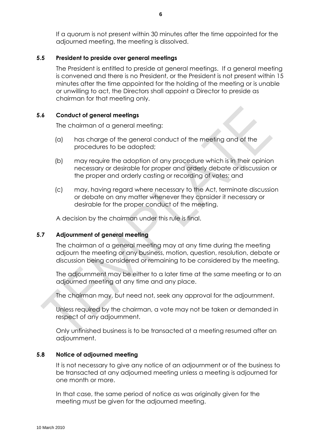If a quorum is not present within 30 minutes after the time appointed for the adjourned meeting, the meeting is dissolved.

#### **5.5 President to preside over general meetings**

The President is entitled to preside at general meetings. If a general meeting is convened and there is no President, or the President is not present within 15 minutes after the time appointed for the holding of the meeting or is unable or unwilling to act, the Directors shall appoint a Director to preside as chairman for that meeting only.

#### **5.6 Conduct of general meetings**

The chairman of a general meeting:

- (a) has charge of the general conduct of the meeting and of the procedures to be adopted;
- (b) may require the adoption of any procedure which is in their opinion necessary or desirable for proper and orderly debate or discussion or the proper and orderly casting or recording of votes; and
- (c) may, having regard where necessary to the Act, terminate discussion or debate on any matter whenever they consider it necessary or desirable for the proper conduct of the meeting.

A decision by the chairman under this rule is final.

#### **5.7 Adjournment of general meeting**

The chairman of a general meeting may at any time during the meeting adjourn the meeting or any business, motion, question, resolution, debate or discussion being considered or remaining to be considered by the meeting.

The adjournment may be either to a later time at the same meeting or to an adjourned meeting at any time and any place.

The chairman may, but need not, seek any approval for the adjournment.

Unless required by the chairman, a vote may not be taken or demanded in respect of any adjournment.

Only unfinished business is to be transacted at a meeting resumed after an adjournment.

#### **5.8 Notice of adjourned meeting**

It is not necessary to give any notice of an adjournment or of the business to be transacted at any adjourned meeting unless a meeting is adjourned for one month or more.

In that case, the same period of notice as was originally given for the meeting must be given for the adjourned meeting.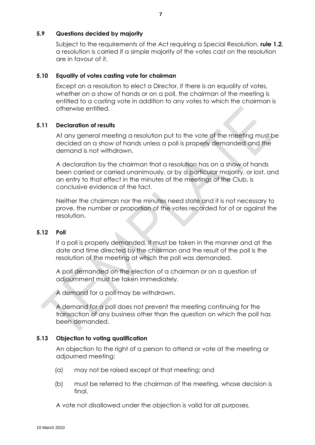#### **5.9 Questions decided by majority**

Subject to the requirements of the Act requiring a Special Resolution, **rule 1.2**, a resolution is carried if a simple majority of the votes cast on the resolution are in favour of it.

#### **5.10 Equality of votes casting vote for chairman**

Except on a resolution to elect a Director, if there is an equality of votes, whether on a show of hands or on a poll, the chairman of the meeting is entitled to a casting vote in addition to any votes to which the chairman is otherwise entitled.

#### **5.11 Declaration of results**

At any general meeting a resolution put to the vote of the meeting must be decided on a show of hands unless a poll is properly demanded and the demand is not withdrawn.

A declaration by the chairman that a resolution has on a show of hands been carried or carried unanimously, or by a particular majority, or lost, and an entry to that effect in the minutes of the meetings of the Club, is conclusive evidence of the fact.

Neither the chairman nor the minutes need state and it is not necessary to prove, the number or proportion of the votes recorded for of or against the resolution.

#### **5.12 Poll**

If a poll is properly demanded, it must be taken in the manner and at the date and time directed by the chairman and the result of the poll is the resolution of the meeting at which the poll was demanded.

A poll demanded on the election of a chairman or on a question of adjournment must be taken immediately.

A demand for a poll may be withdrawn.

A demand for a poll does not prevent the meeting continuing for the transaction of any business other than the question on which the poll has been demanded.

#### **5.13 Objection to voting qualification**

An objection to the right of a person to attend or vote at the meeting or adjourned meeting:

- (a) may not be raised except at that meeting; and
- (b) must be referred to the chairman of the meeting, whose decision is final.

A vote not disallowed under the objection is valid for all purposes.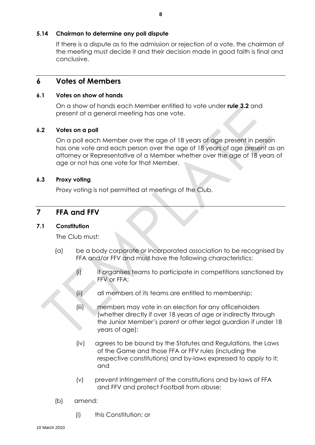#### **5.14 Chairman to determine any poll dispute**

If there is a dispute as to the admission or rejection of a vote, the chairman of the meeting must decide it and their decision made in good faith is final and conclusive.

# **6 Votes of Members**

#### **6.1 Votes on show of hands**

On a show of hands each Member entitled to vote under **rule 3.2** and present at a general meeting has one vote.

#### **6.2 Votes on a poll**

On a poll each Member over the age of 18 years of age present in person has one vote and each person over the age of 18 years of age present as an attorney or Representative of a Member whether over the age of 18 years of age or not has one vote for that Member.

#### **6.3 Proxy voting**

Proxy voting is not permitted at meetings of the Club.

# **7 FFA and FFV**

#### <span id="page-11-0"></span>**7.1 Constitution**

The Club must:

- (a) be a body corporate or incorporated association to be recognised by FFA and/or FFV and must have the following characteristics:
	- (i) it organises teams to participate in competitions sanctioned by FFV or FFA;
	- (ii) all members of its teams are entitled to membership;
	- (iii) members may vote in an election for any officeholders (whether directly if over 18 years of age or indirectly through the Junior Member's parent or other legal guardian if under 18 years of age);
	- (iv) agrees to be bound by the Statutes and Regulations, the Laws of the Game and those FFA or FFV rules (including the respective constitutions) and by-laws expressed to apply to it; and
	- (v) prevent infringement of the constitutions and by-laws of FFA and FFV and protect Football from abuse;
- (b) amend:
	- (i) this Constitution; or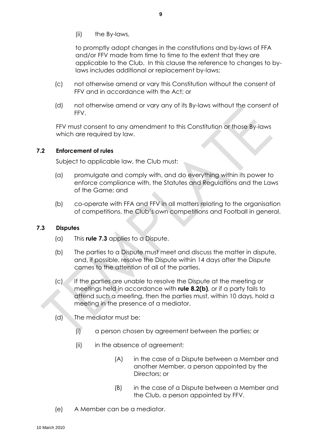(ii) the By-laws,

to promptly adopt changes in the constitutions and by-laws of FFA and/or FFV made from time to time to the extent that they are applicable to the Club. In this clause the reference to changes to bylaws includes additional or replacement by-laws;

- (c) not otherwise amend or vary this Constitution without the consent of FFV and in accordance with the Act; or
- (d) not otherwise amend or vary any of its By-laws without the consent of FFV.

FFV must consent to any amendment to this Constitution or those By-laws which are required by law.

# **7.2 Enforcement of rules**

Subject to applicable law, the Club must:

- (a) promulgate and comply with, and do everything within its power to enforce compliance with, the Statutes and Regulations and the Laws of the Game; and
- (b) co-operate with FFA and FFV in all matters relating to the organisation of competitions, the Club's own competitions and Football in general.

# **7.3 Disputes**

- (a) This **rule 7.3** applies to a Dispute.
- (b) The parties to a Dispute must meet and discuss the matter in dispute, and, if possible, resolve the Dispute within 14 days after the Dispute comes to the attention of all of the parties.
- (c) If the parties are unable to resolve the Dispute at the meeting or meetings held in accordance with **rule 8.2(b)**, or if a party fails to attend such a meeting, then the parties must, within 10 days, hold a meeting in the presence of a mediator.
- (d) The mediator must be:
	- (i) a person chosen by agreement between the parties; or
	- (ii) in the absence of agreement:
		- (A) in the case of a Dispute between a Member and another Member, a person appointed by the Directors; or
		- (B) in the case of a Dispute between a Member and the Club, a person appointed by FFV.
- (e) A Member can be a mediator.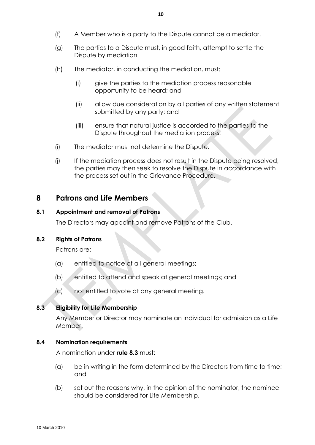- (g) The parties to a Dispute must, in good faith, attempt to settle the Dispute by mediation.
- (h) The mediator, in conducting the mediation, must:
	- (i) give the parties to the mediation process reasonable opportunity to be heard; and
	- (ii) allow due consideration by all parties of any written statement submitted by any party; and
	- (iii) ensure that natural justice is accorded to the parties to the Dispute throughout the mediation process.
- (i) The mediator must not determine the Dispute.
- (j) If the mediation process does not result in the Dispute being resolved, the parties may then seek to resolve the Dispute in accordance with the process set out in the Grievance Procedure.

# **8 Patrons and Life Members**

#### **8.1 Appointment and removal of Patrons**

The Directors may appoint and remove Patrons of the Club.

#### **8.2 Rights of Patrons**

Patrons are:

- (a) entitled to notice of all general meetings;
- (b) entitled to attend and speak at general meetings; and
- (c) not entitled to vote at any general meeting.

# <span id="page-13-0"></span>**8.3 Eligibility for Life Membership**

Any Member or Director may nominate an individual for admission as a Life Member.

#### **8.4 Nomination requirements**

A nomination under **rule [8.3](#page-13-0)** must:

- (a) be in writing in the form determined by the Directors from time to time; and
- (b) set out the reasons why, in the opinion of the nominator, the nominee should be considered for Life Membership.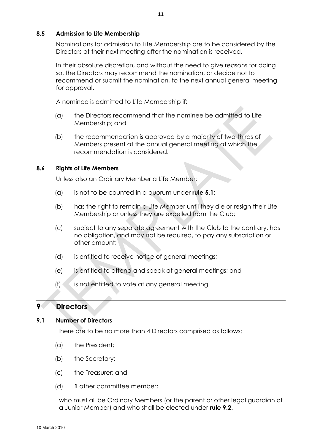#### **8.5 Admission to Life Membership**

Nominations for admission to Life Membership are to be considered by the Directors at their next meeting after the nomination is received.

In their absolute discretion, and without the need to give reasons for doing so, the Directors may recommend the nomination, or decide not to recommend or submit the nomination, to the next annual general meeting for approval.

A nominee is admitted to Life Membership if:

- (a) the Directors recommend that the nominee be admitted to Life Membership; and
- (b) the recommendation is approved by a majority of two-thirds of Members present at the annual general meeting at which the recommendation is considered.

#### **8.6 Rights of Life Members**

Unless also an Ordinary Member a Life Member:

- (a) is not to be counted in a quorum under **rule [5.1](#page-8-2)**;
- (b) has the right to remain a Life Member until they die or resign their Life Membership or unless they are expelled from the Club;
- (c) subject to any separate agreement with the Club to the contrary, has no obligation, and may not be required, to pay any subscription or other amount;
- (d) is entitled to receive notice of general meetings;
- (e) is entitled to attend and speak at general meetings; and
- $(f)$  is not entitled to vote at any general meeting.

# **9 Directors**

#### **9.1 Number of Directors**

There are to be no more than 4 Directors comprised as follows:

- (a) the President;
- (b) the Secretary;
- (c) the Treasurer; and
- (d) **1** other committee member;

who must all be Ordinary Members (or the parent or other legal guardian of a Junior Member) and who shall be elected under **rule 9.2**.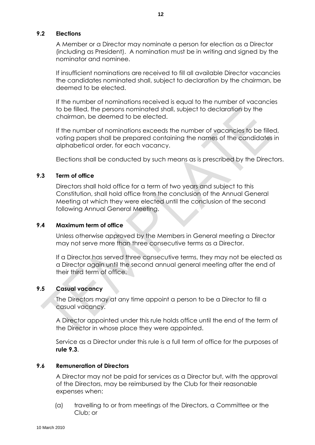#### **9.2 Elections**

A Member or a Director may nominate a person for election as a Director (including as President). A nomination must be in writing and signed by the nominator and nominee.

If insufficient nominations are received to fill all available Director vacancies the candidates nominated shall, subject to declaration by the chairman, be deemed to be elected.

If the number of nominations received is equal to the number of vacancies to be filled, the persons nominated shall, subject to declaration by the chairman, be deemed to be elected.

If the number of nominations exceeds the number of vacancies to be filled, voting papers shall be prepared containing the names of the candidates in alphabetical order, for each vacancy.

Elections shall be conducted by such means as is prescribed by the Directors.

#### **9.3 Term of office**

Directors shall hold office for a term of two years and subject to this Constitution, shall hold office from the conclusion of the Annual General Meeting at which they were elected until the conclusion of the second following Annual General Meeting.

#### **9.4 Maximum term of office**

Unless otherwise approved by the Members in General meeting a Director may not serve more than three consecutive terms as a Director.

If a Director has served three consecutive terms, they may not be elected as a Director again until the second annual general meeting after the end of their third term of office.

#### **9.5 Casual vacancy**

The Directors may at any time appoint a person to be a Director to fill a casual vacancy.

A Director appointed under this rule holds office until the end of the term of the Director in whose place they were appointed.

Service as a Director under this rule is a full term of office for the purposes of **rule 9.3**.

#### <span id="page-15-0"></span>**9.6 Remuneration of Directors**

A Director may not be paid for services as a Director but, with the approval of the Directors, may be reimbursed by the Club for their reasonable expenses when:

(a) travelling to or from meetings of the Directors, a Committee or the Club; or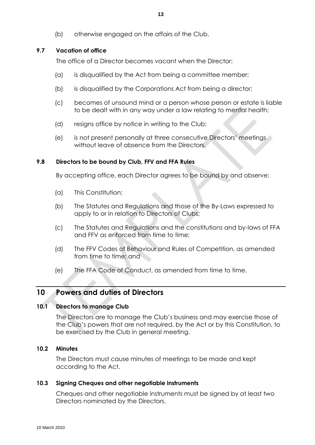(b) otherwise engaged on the affairs of the Club.

#### **9.7 Vacation of office**

The office of a Director becomes vacant when the Director:

- (a) is disqualified by the Act from being a committee member;
- (b) is disqualified by the Corporations Act from being a director;
- (c) becomes of unsound mind or a person whose person or estate is liable to be dealt with in any way under a law relating to mental health;
- (d) resigns office by notice in writing to the Club;
- (e) is not present personally at three consecutive Directors' meetings without leave of absence from the Directors.

#### **9.8 Directors to be bound by Club, FFV and FFA Rules**

By accepting office, each Director agrees to be bound by and observe:

- (a) This Constitution;
- (b) The Statutes and Regulations and those of the By-Laws expressed to apply to or in relation to Directors of Clubs;
- (c) The Statutes and Regulations and the constitutions and by-laws of FFA and FFV as enforced from time to time;
- (d) The FFV Codes of Behaviour and Rules of Competition, as amended from time to time; and
- (e) The FFA Code of Conduct, as amended from time to time.

# **10 Powers and duties of Directors**

#### **10.1 Directors to manage Club**

The Directors are to manage the Club's business and may exercise those of the Club's powers that are not required, by the Act or by this Constitution, to be exercised by the Club in general meeting.

#### **10.2 Minutes**

The Directors must cause minutes of meetings to be made and kept according to the Act.

#### **10.3 Signing Cheques and other negotiable instruments**

Cheques and other negotiable instruments must be signed by at least two Directors nominated by the Directors.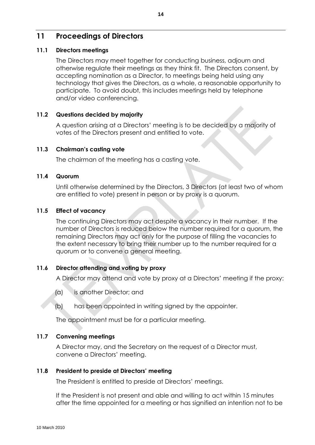# **11 Proceedings of Directors**

#### **11.1 Directors meetings**

The Directors may meet together for conducting business, adjourn and otherwise regulate their meetings as they think fit. The Directors consent, by accepting nomination as a Director, to meetings being held using any technology that gives the Directors, as a whole, a reasonable opportunity to participate. To avoid doubt, this includes meetings held by telephone and/or video conferencing.

#### **11.2 Questions decided by majority**

A question arising at a Directors' meeting is to be decided by a majority of votes of the Directors present and entitled to vote.

#### **11.3 Chairman's casting vote**

The chairman of the meeting has a casting vote.

#### **11.4 Quorum**

Until otherwise determined by the Directors, 3 Directors (at least two of whom are entitled to vote) present in person or by proxy is a quorum.

#### **11.5 Effect of vacancy**

The continuing Directors may act despite a vacancy in their number. If the number of Directors is reduced below the number required for a quorum, the remaining Directors may act only for the purpose of filling the vacancies to the extent necessary to bring their number up to the number required for a quorum or to convene a general meeting.

#### **11.6 Director attending and voting by proxy**

A Director may attend and vote by proxy at a Directors' meeting if the proxy:

- (a) is another Director; and
- (b) has been appointed in writing signed by the appointer.

The appointment must be for a particular meeting.

#### **11.7 Convening meetings**

A Director may, and the Secretary on the request of a Director must, convene a Directors' meeting.

#### **11.8 President to preside at Directors' meeting**

The President is entitled to preside at Directors' meetings.

If the President is not present and able and willing to act within 15 minutes after the time appointed for a meeting or has signified an intention not to be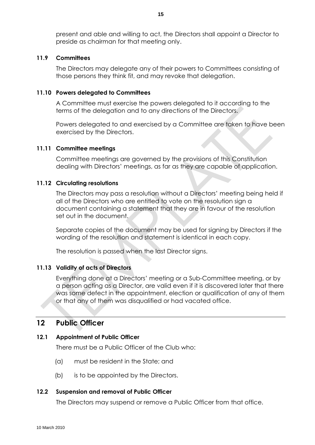present and able and willing to act, the Directors shall appoint a Director to preside as chairman for that meeting only.

#### **11.9 Committees**

The Directors may delegate any of their powers to Committees consisting of those persons they think fit, and may revoke that delegation.

#### **11.10 Powers delegated to Committees**

A Committee must exercise the powers delegated to it according to the terms of the delegation and to any directions of the Directors.

Powers delegated to and exercised by a Committee are taken to have been exercised by the Directors.

#### **11.11 Committee meetings**

Committee meetings are governed by the provisions of this Constitution dealing with Directors' meetings, as far as they are capable of application.

#### **11.12 Circulating resolutions**

The Directors may pass a resolution without a Directors' meeting being held if all of the Directors who are entitled to vote on the resolution sign a document containing a statement that they are in favour of the resolution set out in the document.

Separate copies of the document may be used for signing by Directors if the wording of the resolution and statement is identical in each copy.

The resolution is passed when the last Director signs.

#### **11.13 Validity of acts of Directors**

Everything done at a Directors' meeting or a Sub-Committee meeting, or by a person acting as a Director, are valid even if it is discovered later that there was some defect in the appointment, election or qualification of any of them or that any of them was disqualified or had vacated office.

# **12 Public Officer**

#### **12.1 Appointment of Public Officer**

There must be a Public Officer of the Club who:

- (a) must be resident in the State; and
- (b) is to be appointed by the Directors.

#### **12.2 Suspension and removal of Public Officer**

The Directors may suspend or remove a Public Officer from that office.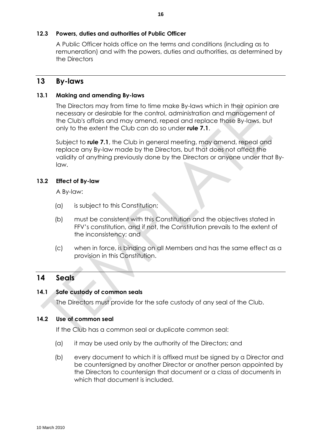#### **12.3 Powers, duties and authorities of Public Officer**

A Public Officer holds office on the terms and conditions (including as to remuneration) and with the powers, duties and authorities, as determined by the Directors

# **13 By-laws**

#### **13.1 Making and amending By-laws**

The Directors may from time to time make By-laws which in their opinion are necessary or desirable for the control, administration and management of the Club's affairs and may amend, repeal and replace those By-laws, but only to the extent the Club can do so under **rule [7.1](#page-11-0)**.

Subject to **rule [7.1](#page-11-0)**, the Club in general meeting, may amend, repeal and replace any By-law made by the Directors, but that does not affect the validity of anything previously done by the Directors or anyone under that Bylaw.

#### **13.2 Effect of By-law**

A By-law:

- (a) is subject to this Constitution;
- (b) must be consistent with this Constitution and the objectives stated in FFV's constitution, and if not, the Constitution prevails to the extent of the inconsistency; and
- (c) when in force, is binding on all Members and has the same effect as a provision in this Constitution.

# **14 Seals**

#### **14.1 Safe custody of common seals**

The Directors must provide for the safe custody of any seal of the Club.

#### **14.2 Use of common seal**

If the Club has a common seal or duplicate common seal:

- (a) it may be used only by the authority of the Directors; and
- (b) every document to which it is affixed must be signed by a Director and be countersigned by another Director or another person appointed by the Directors to countersign that document or a class of documents in which that document is included.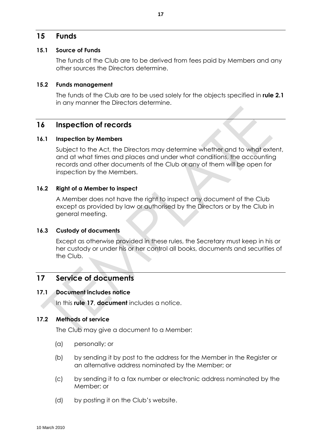## **15 Funds**

#### **15.1 Source of Funds**

The funds of the Club are to be derived from fees paid by Members and any other sources the Directors determine.

#### **15.2 Funds management**

The funds of the Club are to be used solely for the objects specified in **rule 2.1** in any manner the Directors determine.

# **16 Inspection of records**

#### **16.1 Inspection by Members**

Subject to the Act, the Directors may determine whether and to what extent, and at what times and places and under what conditions, the accounting records and other documents of the Club or any of them will be open for inspection by the Members.

#### **16.2 Right of a Member to inspect**

A Member does not have the right to inspect any document of the Club except as provided by law or authorised by the Directors or by the Club in general meeting.

#### **16.3 Custody of documents**

Except as otherwise provided in these rules, the Secretary must keep in his or her custody or under his or her control all books, documents and securities of the Club.

# <span id="page-20-0"></span>**17 Service of documents**

#### **17.1 Document includes notice**

In this **rule [17](#page-20-0)**, **document** includes a notice.

#### **17.2 Methods of service**

The Club may give a document to a Member:

- (a) personally; or
- (b) by sending it by post to the address for the Member in the Register or an alternative address nominated by the Member; or
- (c) by sending it to a fax number or electronic address nominated by the Member; or
- (d) by posting it on the Club's website.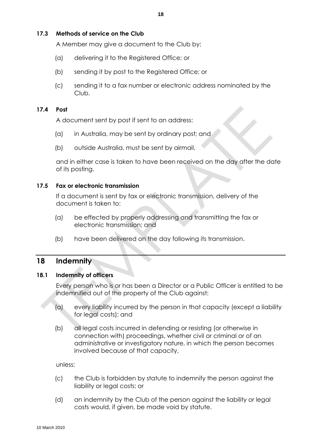#### **17.3 Methods of service on the Club**

A Member may give a document to the Club by:

- (a) delivering it to the Registered Office; or
- (b) sending it by post to the Registered Office; or
- (c) sending it to a fax number or electronic address nominated by the Club.

#### **17.4 Post**

A document sent by post if sent to an address:

- (a) in Australia, may be sent by ordinary post; and
- (b) outside Australia, must be sent by airmail,

and in either case is taken to have been received on the day after the date of its posting.

#### **17.5 Fax or electronic transmission**

If a document is sent by fax or electronic transmission, delivery of the document is taken to:

- (a) be effected by properly addressing and transmitting the fax or electronic transmission; and
- (b) have been delivered on the day following its transmission.

# **18 Indemnity**

#### **18.1 Indemnity of officers**

Every person who is or has been a Director or a Public Officer is entitled to be indemnified out of the property of the Club against:

- (a) every liability incurred by the person in that capacity (except a liability for legal costs); and
- (b) all legal costs incurred in defending or resisting (or otherwise in connection with) proceedings, whether civil or criminal or of an administrative or investigatory nature, in which the person becomes involved because of that capacity,

unless:

- (c) the Club is forbidden by statute to indemnify the person against the liability or legal costs; or
- (d) an indemnity by the Club of the person against the liability or legal costs would, if given, be made void by statute.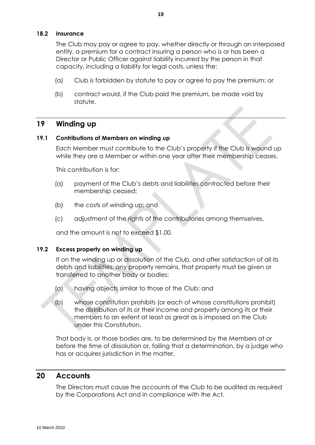#### **18.2 Insurance**

The Club may pay or agree to pay, whether directly or through an interposed entity, a premium for a contract insuring a person who is or has been a Director or Public Officer against liability incurred by the person in that capacity, including a liability for legal costs, unless the:

- (a) Club is forbidden by statute to pay or agree to pay the premium; or
- (b) contract would, if the Club paid the premium, be made void by statute.

# **19 Winding up**

#### **19.1 Contributions of Members on winding up**

Each Member must contribute to the Club's property if the Club is wound up while they are a Member or within one year after their membership ceases.

This contribution is for:

- (a) payment of the Club's debts and liabilities contracted before their membership ceased;
- (b) the costs of winding up; and
- (c) adjustment of the rights of the contributories among themselves,

and the amount is not to exceed \$1.00.

#### **19.2 Excess property on winding up**

If on the winding up or dissolution of the Club, and after satisfaction of all its debts and liabilities, any property remains, that property must be given or transferred to another body or bodies:

- (a) having objects similar to those of the Club; and
- (b) whose constitution prohibits (or each of whose constitutions prohibit) the distribution of its or their income and property among its or their members to an extent at least as great as is imposed on the Club under this Constitution.

That body is, or those bodies are, to be determined by the Members at or before the time of dissolution or, failing that a determination, by a judge who has or acquires jurisdiction in the matter.

#### **20 Accounts**

The Directors must cause the accounts of the Club to be audited as required by the Corporations Act and in compliance with the Act.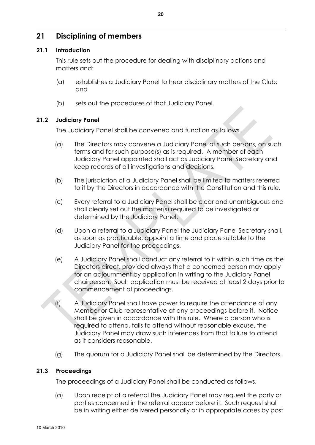# **21 Disciplining of members**

#### **21.1 Introduction**

This rule sets out the procedure for dealing with disciplinary actions and matters and:

- (a) establishes a Judiciary Panel to hear disciplinary matters of the Club; and
- (b) sets out the procedures of that Judiciary Panel.

#### **21.2 Judiciary Panel**

The Judiciary Panel shall be convened and function as follows.

- (a) The Directors may convene a Judiciary Panel of such persons, on such terms and for such purpose(s) as is required. A member of each Judiciary Panel appointed shall act as Judiciary Panel Secretary and keep records of all investigations and decisions.
- (b) The jurisdiction of a Judiciary Panel shall be limited to matters referred to it by the Directors in accordance with the Constitution and this rule.
- (c) Every referral to a Judiciary Panel shall be clear and unambiguous and shall clearly set out the matter(s) required to be investigated or determined by the Judiciary Panel.
- (d) Upon a referral to a Judiciary Panel the Judiciary Panel Secretary shall, as soon as practicable, appoint a time and place suitable to the Judiciary Panel for the proceedings.
- (e) A Judiciary Panel shall conduct any referral to it within such time as the Directors direct, provided always that a concerned person may apply for an adjournment by application in writing to the Judiciary Panel chairperson. Such application must be received at least 2 days prior to commencement of proceedings.
- (f) A Judiciary Panel shall have power to require the attendance of any Member or Club representative at any proceedings before it. Notice shall be given in accordance with this rule. Where a person who is required to attend, fails to attend without reasonable excuse, the Judiciary Panel may draw such inferences from that failure to attend as it considers reasonable.
- (g) The quorum for a Judiciary Panel shall be determined by the Directors.

#### <span id="page-23-0"></span>**21.3 Proceedings**

The proceedings of a Judiciary Panel shall be conducted as follows.

(a) Upon receipt of a referral the Judiciary Panel may request the party or parties concerned in the referral appear before it. Such request shall be in writing either delivered personally or in appropriate cases by post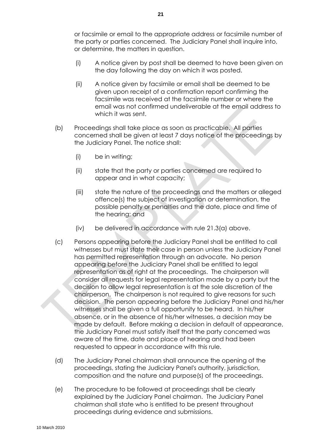or facsimile or email to the appropriate address or facsimile number of the party or parties concerned. The Judiciary Panel shall inquire into, or determine, the matters in question.

- (i) A notice given by post shall be deemed to have been given on the day following the day on which it was posted.
- (ii) A notice given by facsimile or email shall be deemed to be given upon receipt of a confirmation report confirming the facsimile was received at the facsimile number or where the email was not confirmed undeliverable at the email address to which it was sent.
- (b) Proceedings shall take place as soon as practicable. All parties concerned shall be given at least 7 days notice of the proceedings by the Judiciary Panel. The notice shall:
	- (i) be in writing;
	- (ii) state that the party or parties concerned are required to appear and in what capacity;
	- (iii) state the nature of the proceedings and the matters or alleged offence(s) the subject of investigation or determination, the possible penalty or penalties and the date, place and time of the hearing; and
	- (iv) be delivered in accordance with rule [21.3\(a\)](#page-23-0) above.
- (c) Persons appearing before the Judiciary Panel shall be entitled to call witnesses but must state their case in person unless the Judiciary Panel has permitted representation through an advocate. No person appearing before the Judiciary Panel shall be entitled to legal representation as of right at the proceedings. The chairperson will consider all requests for legal representation made by a party but the decision to allow legal representation is at the sole discretion of the chairperson. The chairperson is not required to give reasons for such decision. The person appearing before the Judiciary Panel and his/her witnesses shall be given a full opportunity to be heard. In his/her absence, or in the absence of his/her witnesses, a decision may be made by default. Before making a decision in default of appearance, the Judiciary Panel must satisfy itself that the party concerned was aware of the time, date and place of hearing and had been requested to appear in accordance with this rule.
- (d) The Judiciary Panel chairman shall announce the opening of the proceedings, stating the Judiciary Panel's authority, jurisdiction, composition and the nature and purpose(s) of the proceedings.
- (e) The procedure to be followed at proceedings shall be clearly explained by the Judiciary Panel chairman. The Judiciary Panel chairman shall state who is entitled to be present throughout proceedings during evidence and submissions.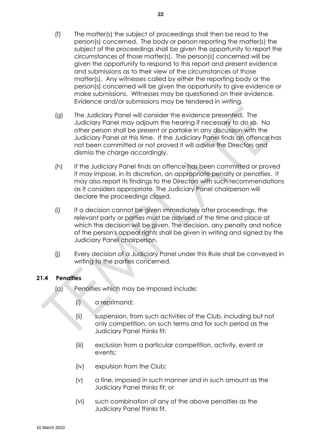- (f) The matter(s) the subject of proceedings shall then be read to the person(s) concerned. The body or person reporting the matter(s) the subject of the proceedings shall be given the opportunity to report the circumstances of those matter(s). The person(s) concerned will be given the opportunity to respond to this report and present evidence and submissions as to their view of the circumstances of those matter(s). Any witnesses called by either the reporting body or the person(s) concerned will be given the opportunity to give evidence or make submissions. Witnesses may be questioned on their evidence. Evidence and/or submissions may be tendered in writing.
- (g) The Judiciary Panel will consider the evidence presented. The Judiciary Panel may adjourn the hearing if necessary to do so. No other person shall be present or partake in any discussion with the Judiciary Panel at this time. If the Judiciary Panel finds an offence has not been committed or not proved it will advise the Directors and dismiss the charge accordingly.
- (h) If the Judiciary Panel finds an offence has been committed or proved it may impose, in its discretion, an appropriate penalty or penalties. It may also report its findings to the Directors with such recommendations as it considers appropriate. The Judiciary Panel chairperson will declare the proceedings closed.
- (i) If a decision cannot be given immediately after proceedings, the relevant party or parties must be advised of the time and place at which the decision will be given. The decision, any penalty and notice of the person's appeal rights shall be given in writing and signed by the Judiciary Panel chairperson.
- (j) Every decision of a Judiciary Panel under this Rule shall be conveyed in writing to the parties concerned.

# **21.4 Penalties**

- (a) Penalties which may be imposed include:
	- (i) a reprimand;
	- (ii) suspension, from such activities of the Club, including but not only competition, on such terms and for such period as the Judiciary Panel thinks fit;
	- (iii) exclusion from a particular competition, activity, event or events;
	- (iv) expulsion from the Club;
	- (v) a fine, imposed in such manner and in such amount as the Judiciary Panel thinks fit; or
	- (vi) such combination of any of the above penalties as the Judiciary Panel thinks fit.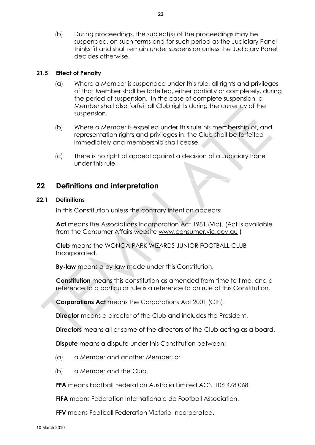(b) During proceedings, the subject(s) of the proceedings may be suspended, on such terms and for such period as the Judiciary Panel thinks fit and shall remain under suspension unless the Judiciary Panel decides otherwise.

#### **21.5 Effect of Penalty**

- (a) Where a Member is suspended under this rule, all rights and privileges of that Member shall be forfeited, either partially or completely, during the period of suspension. In the case of complete suspension, a Member shall also forfeit all Club rights during the currency of the suspension.
- (b) Where a Member is expelled under this rule his membership of, and representation rights and privileges in, the Club shall be forfeited immediately and membership shall cease.
- (c) There is no right of appeal against a decision of a Judiciary Panel under this rule.

# **22 Definitions and interpretation**

#### **22.1 Definitions**

In this Constitution unless the contrary intention appears:

**Act** means the Associations Incorporation Act 1981 (Vic). (Act is available from the Consumer Affairs website [www.consumer.vic.gov.au](http://www.consumer.vic.gov.au/) )

**Club** means the WONGA PARK WIZARDS JUNIOR FOOTBALL CLUB Incorporated.

**By-law** means a by-law made under this Constitution.

**Constitution** means this constitution as amended from time to time, and a reference to a particular rule is a reference to an rule of this Constitution.

**Corporations Act** means the Corporations Act 2001 (Cth).

**Director** means a director of the Club and includes the President.

**Directors** means all or some of the directors of the Club acting as a board.

**Dispute** means a dispute under this Constitution between:

- (a) a Member and another Member; or
- (b) a Member and the Club.

**FFA** means Football Federation Australia Limited ACN 106 478 068.

**FIFA** means Federation Internationale de Football Association.

**FFV** means Football Federation Victoria Incorporated.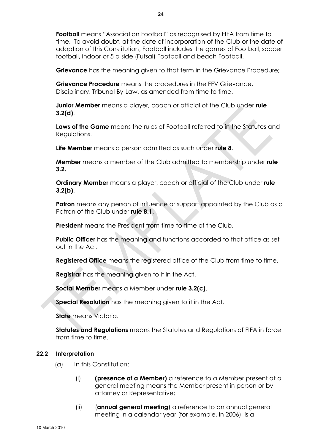**Football** means "Association Football" as recognised by FIFA from time to time. To avoid doubt, at the date of incorporation of the Club or the date of adoption of this Constitution, Football includes the games of Football, soccer football, indoor or 5 a side (Futsal) Football and beach Football.

**Grievance** has the meaning given to that term in the Grievance Procedure;

**Grievance Procedure** means the procedures in the FFV Grievance, Disciplinary, Tribunal By-Law, as amended from time to time.

**Junior Member** means a player, coach or official of the Club under **rule 3.2(d)**.

**Laws of the Game** means the rules of Football referred to in the Statutes and Regulations.

**Life Member** means a person admitted as such under **rule 8**.

**Member** means a member of the Club admitted to membership under **rule 3.2.**

**Ordinary Member** means a player, coach or official of the Club under **rule 3.2(b)**.

**Patron** means any person of influence or support appointed by the Club as a Patron of the Club under **rule 8.1**.

**President** means the President from time to time of the Club.

**Public Officer** has the meaning and functions accorded to that office as set out in the Act.

**Registered Office** means the registered office of the Club from time to time.

**Registrar** has the meaning given to it in the Act.

**Social Member** means a Member under **rule 3.2(c)**.

**Special Resolution** has the meaning given to it in the Act.

**State** means Victoria.

**Statutes and Regulations** means the Statutes and Regulations of FIFA in force from time to time.

#### **22.2 Interpretation**

- (a) In this Constitution:
	- (i) **(presence of a Member)** a reference to a Member present at a general meeting means the Member present in person or by attorney or Representative;
	- (ii) (**annual general meeting**) a reference to an annual general meeting in a calendar year (for example, in 2006), is a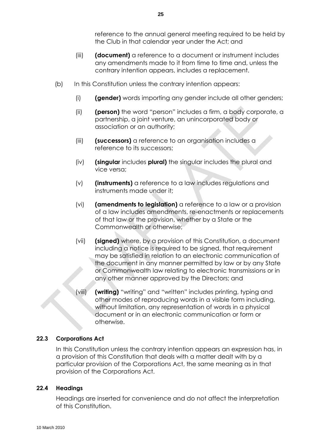- (iii) **(document)** a reference to a document or instrument includes any amendments made to it from time to time and, unless the contrary intention appears, includes a replacement.
- (b) In this Constitution unless the contrary intention appears:
	- (i) **(gender)** words importing any gender include all other genders;
	- (ii) **(person)** the word "person" includes a firm, a body corporate, a partnership, a joint venture, an unincorporated body or association or an authority;
	- (iii) **(successors)** a reference to an organisation includes a reference to its successors;
	- (iv) **(singular** includes **plural)** the singular includes the plural and vice versa;
	- (v) **(instruments)** a reference to a law includes regulations and instruments made under it;
	- (vi) **(amendments to legislation)** a reference to a law or a provision of a law includes amendments, re-enactments or replacements of that law or the provision, whether by a State or the Commonwealth or otherwise;
	- (vii) **(signed)** where, by a provision of this Constitution, a document including a notice is required to be signed, that requirement may be satisfied in relation to an electronic communication of the document in any manner permitted by law or by any State or Commonwealth law relating to electronic transmissions or in any other manner approved by the Directors; and
	- (viii) **(writing)** "writing" and "written" includes printing, typing and other modes of reproducing words in a visible form including, without limitation, any representation of words in a physical document or in an electronic communication or form or otherwise.

#### **22.3 Corporations Act**

In this Constitution unless the contrary intention appears an expression has, in a provision of this Constitution that deals with a matter dealt with by a particular provision of the Corporations Act, the same meaning as in that provision of the Corporations Act.

#### **22.4 Headings**

Headings are inserted for convenience and do not affect the interpretation of this Constitution.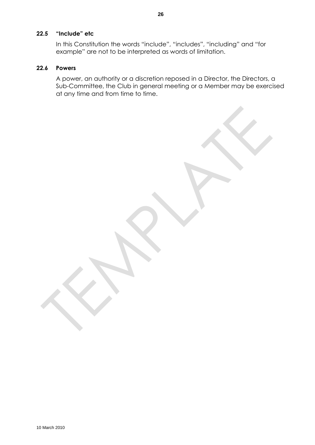#### **22.5 "Include" etc**

In this Constitution the words "include", "includes", "including" and "for example" are not to be interpreted as words of limitation.

# **22.6 Powers**

A power, an authority or a discretion reposed in a Director, the Directors, a Sub-Committee, the Club in general meeting or a Member may be exercised at any time and from time to time.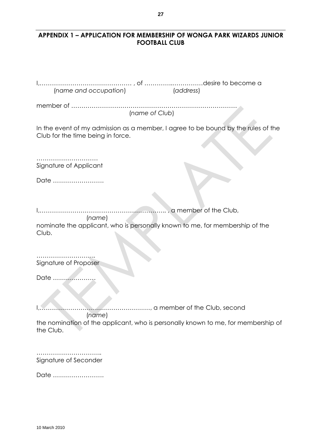#### **APPENDIX 1 – APPLICATION FOR MEMBERSHIP OF WONGA PARK WIZARDS JUNIOR FOOTBALL CLUB**

I,……………………………………… , of …………..……………desire to become a (*name and occupation*) (*address*) member of ……………………………………………………………………… (*name of Club*) In the event of my admission as a member, I agree to be bound by the rules of the Club for the time being in force. ……………………………… Signature of Applicant Date ……………………. I,…………………………………………………….. , a member of the Club, (*name*) nominate the applicant, who is personally known to me, for membership of the Club. …………………………… Signature of Proposer Date ………………… I,………………………………………………, a member of the Club, second (*name*) the nomination of the applicant, who is personally known to me, for membership of the Club. …………………………………… Signature of Seconder Date …………………….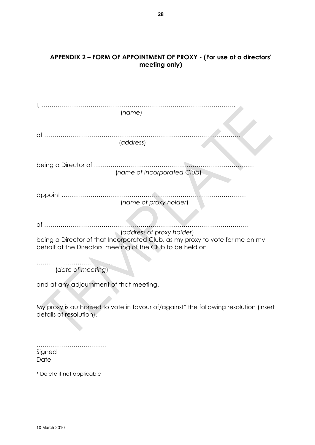**APPENDIX 2 – FORM OF APPOINTMENT OF PROXY - (For use at a directors'** 

| meeting only)                                                                                                    |  |  |
|------------------------------------------------------------------------------------------------------------------|--|--|
|                                                                                                                  |  |  |
|                                                                                                                  |  |  |
|                                                                                                                  |  |  |
| (name)                                                                                                           |  |  |
|                                                                                                                  |  |  |
| (address)                                                                                                        |  |  |
|                                                                                                                  |  |  |
|                                                                                                                  |  |  |
| (name of Incorporated Club)                                                                                      |  |  |
|                                                                                                                  |  |  |
|                                                                                                                  |  |  |
| (name of proxy holder)                                                                                           |  |  |
|                                                                                                                  |  |  |
| (address of proxy holder)                                                                                        |  |  |
| being a Director of that Incorporated Club, as my proxy to vote for me on my                                     |  |  |
| behalf at the Directors' meeting of the Club to be held on                                                       |  |  |
|                                                                                                                  |  |  |
| (date of meeting)                                                                                                |  |  |
| and at any adjournment of that meeting.                                                                          |  |  |
|                                                                                                                  |  |  |
| My proxy is authorised to vote in favour of/against* the following resolution (insert<br>details of resolution). |  |  |
|                                                                                                                  |  |  |
|                                                                                                                  |  |  |
|                                                                                                                  |  |  |
| Signed<br>Date                                                                                                   |  |  |
| * Delete if not applicable                                                                                       |  |  |